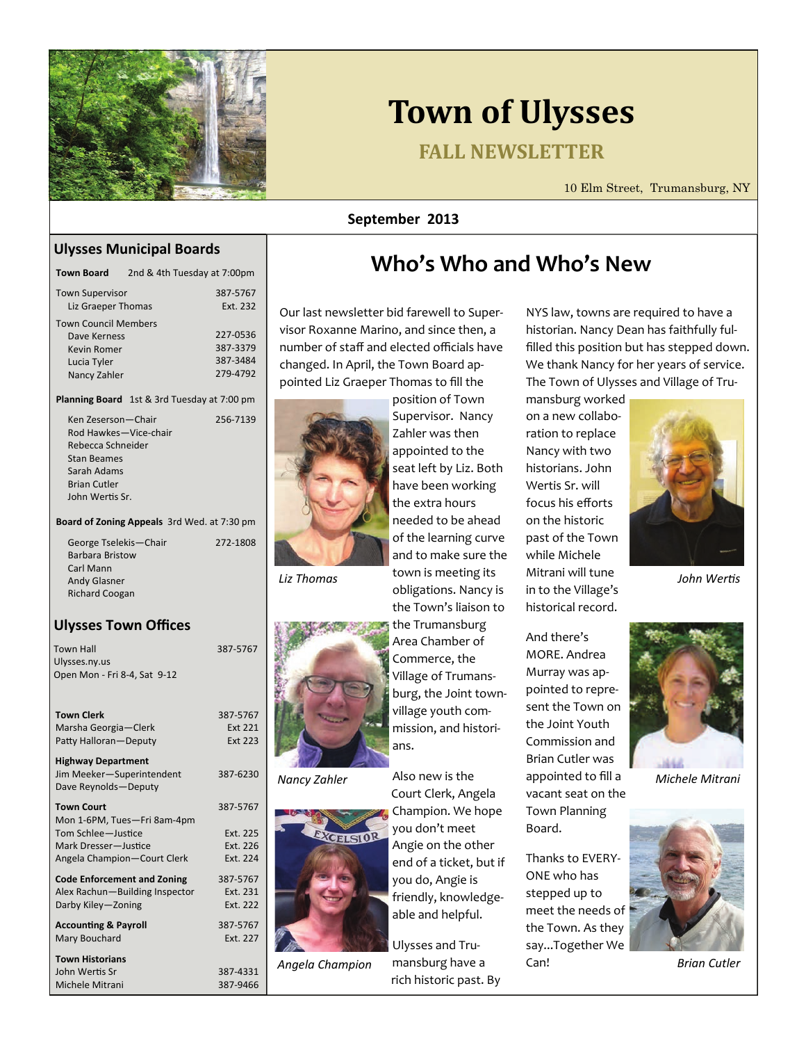

# **Town of Ulysses**

# **FALL NEWSLETTER**

10 Elm Street, Trumansburg, NY

#### **September 2013**

#### **Ulysses Municipal Boards**

| <b>Town Board</b>                                                                         | 2nd & 4th Tuesday at 7:00pm |                                              |
|-------------------------------------------------------------------------------------------|-----------------------------|----------------------------------------------|
| <b>Town Supervisor</b><br>Liz Graeper Thomas                                              |                             | 387-5767<br>Fxt. 232                         |
| <b>Town Council Members</b><br>Dave Kerness<br>Kevin Romer<br>Lucia Tyler<br>Nancy Zahler |                             | 227-0536<br>387-3379<br>387-3484<br>279-4792 |

#### **Planning Board** 1st & 3rd Tuesday at 7:00 pm

| Ken Zeserson—Chair    | 256-7139 |
|-----------------------|----------|
| Rod Hawkes-Vice-chair |          |
| Rebecca Schneider     |          |
| Stan Beames           |          |
| Sarah Adams           |          |
| <b>Brian Cutler</b>   |          |
| John Wertis Sr.       |          |
|                       |          |

**Board of Zoning Appeals** 3rd Wed. at 7:30 pm

| George Tselekis-Chair  | 272-1808 |
|------------------------|----------|
| <b>Barbara Bristow</b> |          |
| Carl Mann              |          |
| <b>Andy Glasner</b>    |          |
| <b>Richard Coogan</b>  |          |
|                        |          |

#### **Ulysses Town Offices**

| Town Hall                    |  |
|------------------------------|--|
| Ulysses.ny.us                |  |
| Open Mon - Fri 8-4, Sat 9-12 |  |

| 387-5767<br>Ext 221<br><b>Ext 223</b> |
|---------------------------------------|
| 387-6230                              |
| 387-5767                              |
| Ext. 225                              |
| Ext. 226                              |
| Ext. 224                              |
| 387-5767                              |
| Ext. 231                              |
| Fxt. 222                              |
| 387-5767                              |
| Fxt. 227                              |
|                                       |
| 387-4331                              |
| 387-9466                              |
|                                       |

# **Who's Who and Who's New**

Our last newsletter bid farewell to Super‐ visor Roxanne Marino, and since then, a number of staff and elected officials have changed. In April, the Town Board ap‐ pointed Liz Graeper Thomas to fill the



appointed to the seat left by Liz. Both have been working the extra hours needed to be ahead of the learning curve and to make sure the town is meeting its *Liz Thomas* <sup>town is meeting its Mitrani will tune *John Wertis*</sup>

387-5767





obligations. Nancy is the Town's liaison to the Trumansburg Area Chamber of Commerce, the Village of Trumans‐ burg, the Joint town‐ village youth com‐ mission, and histori‐ ans.

Also new is the Court Clerk, Angela Champion. We hope you don't meet Angie on the other end of a ticket, but if you do, Angie is friendly, knowledge‐ able and helpful. Nancy Zahler Malso new is the appointed to fill a Michele Mitrani

Ulysses and Tru‐ mansburg have a rich historic past. By Angela Champion annsburg have a can! Can announce a Brian Cutler

NYS law, towns are required to have a historian. Nancy Dean has faithfully ful‐ filled this position but has stepped down. We thank Nancy for her years of service. The Town of Ulysses and Village of Tru‐

mansburg worked on a new collabo‐ ration to replace Nancy with two historians. John Wertis Sr. will focus his efforts on the historic past of the Town while Michele Mitrani will tune in to the Village's historical record.

And there's MORE. Andrea Murray was ap‐ pointed to repre‐ sent the Town on the Joint Youth Commission and Brian Cutler was vacant seat on the Town Planning Board.

Thanks to EVERY‐ ONE who has stepped up to meet the needs of the Town. As they say...Together We Can!



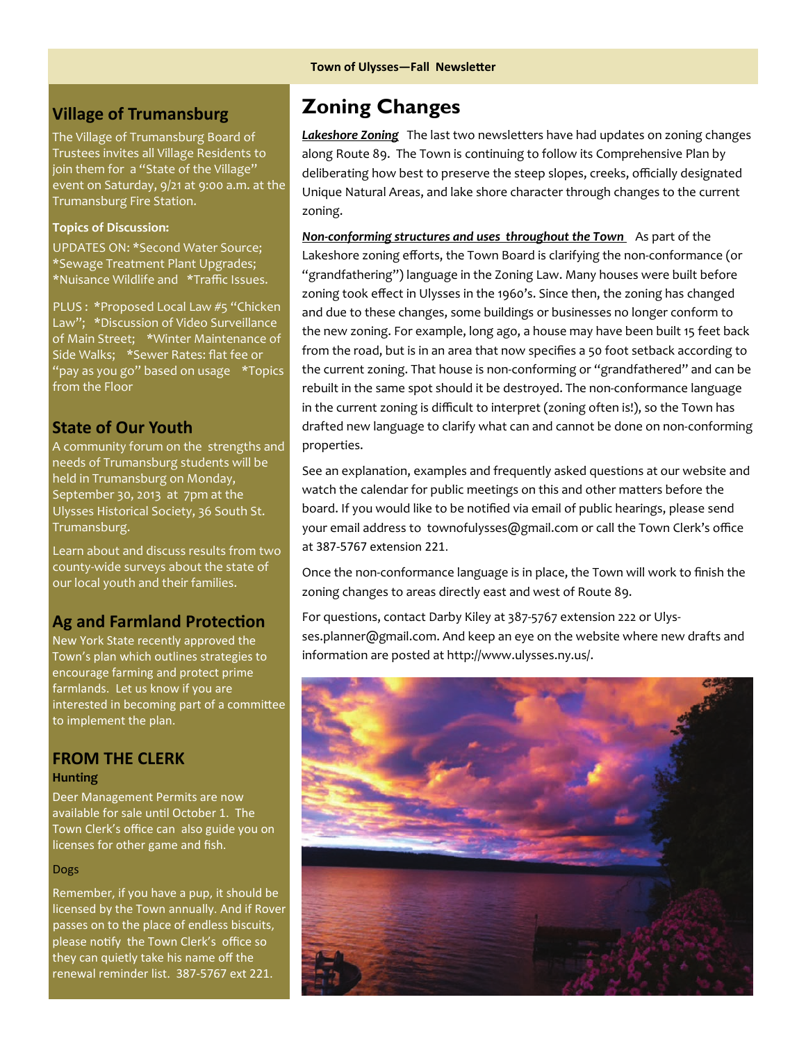# **Village of Trumansburg**

The Village of Trumansburg Board of Trustees invites all Village Residents to join them for a "State of the Village" event on Saturday, 9/21 at 9:00 a.m. at the Trumansburg Fire Station.

#### **Topics of Discussion:**

UPDATES ON: \*Second Water Source; \*Sewage Treatment Plant Upgrades; \*Nuisance Wildlife and \*Traffic Issues.

PLUS : \*Proposed Local Law #5 "Chicken Law"; \*Discussion of Video Surveillance of Main Street; \*Winter Maintenance of Side Walks; \*Sewer Rates: flat fee or "pay as you go" based on usage \*Topics from the Floor

### **State of Our Youth**

A community forum on the strengths and needs of Trumansburg students will be held in Trumansburg on Monday, September 30, 2013 at 7pm at the Ulysses Historical Society, 36 South St. Trumansburg.

Learn about and discuss results from two county‐wide surveys about the state of our local youth and their families.

## **Ag** and **Farmland** Protection

New York State recently approved the Town's plan which outlines strategies to encourage farming and protect prime farmlands. Let us know if you are interested in becoming part of a committee to implement the plan.

#### **FROM THE CLERK Hunting**

Deer Management Permits are now available for sale until October 1. The Town Clerk's office can also guide you on licenses for other game and fish.

#### Dogs

Remember, if you have a pup, it should be licensed by the Town annually. And if Rover passes on to the place of endless biscuits, please notify the Town Clerk's office so they can quietly take his name off the renewal reminder list. 387‐5767 ext 221.

# **Zoning Changes**

*Lakeshore Zoning* The last two newsletters have had updates on zoning changes along Route 89. The Town is continuing to follow its Comprehensive Plan by deliberating how best to preserve the steep slopes, creeks, officially designated Unique Natural Areas, and lake shore character through changes to the current zoning.

*Non‐conforming structures and uses throughout the Town* As part of the Lakeshore zoning efforts, the Town Board is clarifying the non‐conformance (or "grandfathering") language in the Zoning Law. Many houses were built before zoning took effect in Ulysses in the 1960's. Since then, the zoning has changed and due to these changes, some buildings or businesses no longer conform to the new zoning. For example, long ago, a house may have been built 15 feet back from the road, but is in an area that now specifies a 50 foot setback according to the current zoning. That house is non-conforming or "grandfathered" and can be rebuilt in the same spot should it be destroyed. The non‐conformance language in the current zoning is difficult to interpret (zoning often is!), so the Town has drafted new language to clarify what can and cannot be done on non‐conforming properties.

See an explanation, examples and frequently asked questions at our website and watch the calendar for public meetings on this and other matters before the board. If you would like to be notified via email of public hearings, please send your email address to townofulysses@gmail.com or call the Town Clerk's office at 387‐5767 extension 221.

Once the non‐conformance language is in place, the Town will work to finish the zoning changes to areas directly east and west of Route 89.

For questions, contact Darby Kiley at 387‐5767 extension 222 or Ulys‐ ses.planner@gmail.com. And keep an eye on the website where new drafts and information are posted at http://www.ulysses.ny.us/.

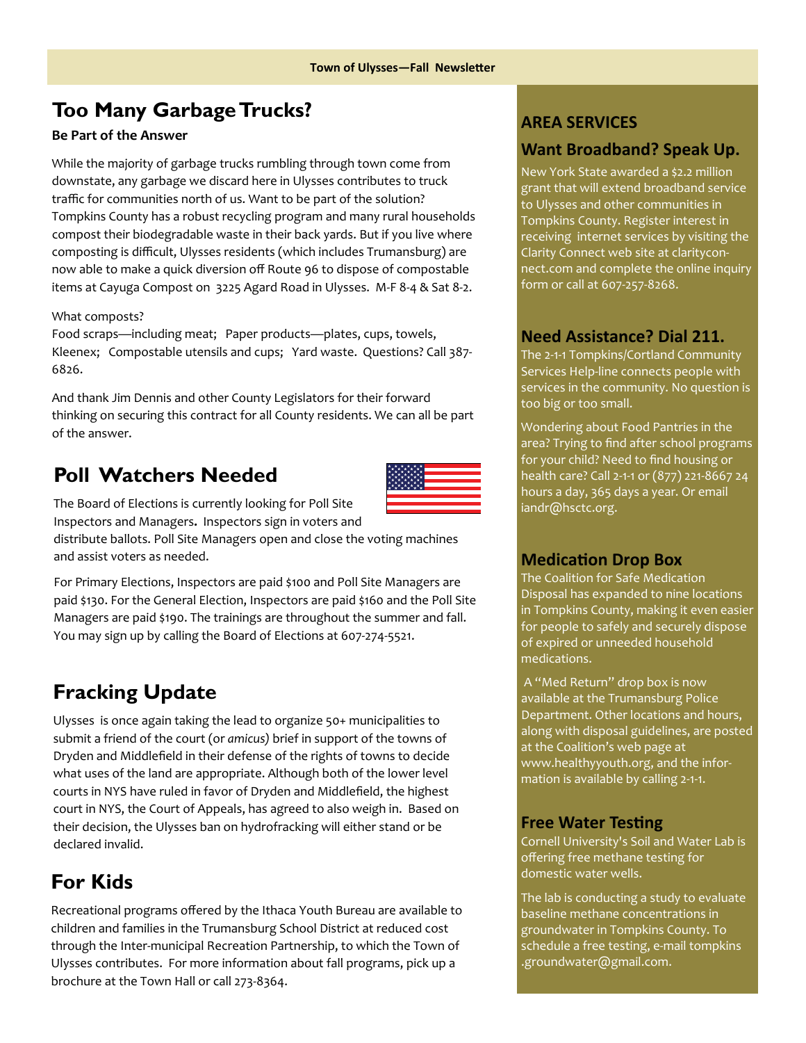# **Too Many Garbage Trucks?**

#### **Be Part of the Answer**

While the majority of garbage trucks rumbling through town come from downstate, any garbage we discard here in Ulysses contributes to truck traffic for communities north of us. Want to be part of the solution? Tompkins County has a robust recycling program and many rural households compost their biodegradable waste in their back yards. But if you live where composting is difficult, Ulysses residents (which includes Trumansburg) are now able to make a quick diversion off Route 96 to dispose of compostable items at Cayuga Compost on 3225 Agard Road in Ulysses. M‐F 8‐4 & Sat 8‐2.

#### What composts?

Food scraps—including meat; Paper products—plates, cups, towels, Kleenex; Compostable utensils and cups; Yard waste. Questions? Call 387-6826.

And thank Jim Dennis and other County Legislators for their forward thinking on securing this contract for all County residents. We can all be part of the answer.

# **Poll Watchers Needed**



The Board of Elections is currently looking for Poll Site Inspectors and Managers**.** Inspectors sign in voters and distribute ballots. Poll Site Managers open and close the voting machines and assist voters as needed.

For Primary Elections, Inspectors are paid \$100 and Poll Site Managers are paid \$130. For the General Election, Inspectors are paid \$160 and the Poll Site Managers are paid \$190. The trainings are throughout the summer and fall. You may sign up by calling the Board of Elections at 607‐274‐5521.

# **Fracking Update**

Ulysses is once again taking the lead to organize 50+ municipalities to submit a friend of the court (or *amicus)* brief in support of the towns of Dryden and Middlefield in their defense of the rights of towns to decide what uses of the land are appropriate. Although both of the lower level courts in NYS have ruled in favor of Dryden and Middlefield, the highest court in NYS, the Court of Appeals, has agreed to also weigh in. Based on their decision, the Ulysses ban on hydrofracking will either stand or be declared invalid. 

# **For Kids**

Recreational programs offered by the Ithaca Youth Bureau are available to children and families in the Trumansburg School District at reduced cost through the Inter‐municipal Recreation Partnership, to which the Town of Ulysses contributes. For more information about fall programs, pick up a brochure at the Town Hall or call 273‐8364.

### **AREA SERVICES**

## **Want Broadband? Speak Up.**

New York State awarded a \$2.2 million grant that will extend broadband service to Ulysses and other communities in Tompkins County. Register interest in receiving internet services by visiting the Clarity Connect web site at [claritycon](http://www.clarityconnect.com/)‐ [nect.com](http://www.clarityconnect.com/) and complete the online inquiry form or call at 607‐257‐8268.

### **Need Assistance? Dial 211.**

The 2‐1‐1 Tompkins/Cortland Community Services Help‐line connects people with services in the community. No question is too big or too small.

Wondering about Food Pantries in the area? Trying to find after school programs for your child? Need to find housing or health care? Call 2‐1‐1 or (877) 221‐8667 24 hours a day, 365 days a year. Or email iandr@hsctc.org.

### **MedicaƟon Drop Box**

The Coalition for Safe Medication Disposal has expanded to nine locations in Tompkins County, making it even easier for people to safely and securely dispose of expired or unneeded household medications.

A "Med Return" drop box is now available at the Trumansburg Police Department. Other locations and hours, along with disposal guidelines, are posted at the Coalition's web page at [www.healthyyouth.org,](http://www.healthyyouth.org/) and the infor‐ mation is available by calling 2‐1‐1.

### **Free Water Testing**

Cornell University's Soil and Water Lab is offering free methane testing for domestic water wells.

The lab is conducting a study to evaluate baseline methane concentrations in groundwater in Tompkins County. To schedule a free testing, e‐mail tompkins .groundwater@gmail.com.